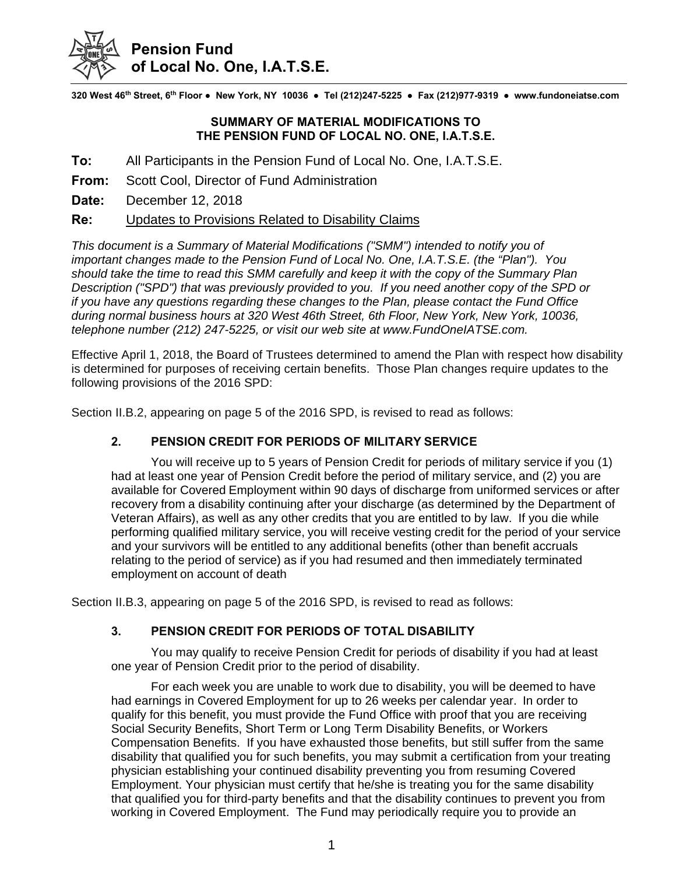

**320 West 46th Street, 6th Floor ● New York, NY 10036 ● Tel (212)247-5225 ● Fax (212)977-9319 ● www.fundoneiatse.com**

## **SUMMARY OF MATERIAL MODIFICATIONS TO THE PENSION FUND OF LOCAL NO. ONE, I.A.T.S.E.**

- **To:** All Participants in the Pension Fund of Local No. One, I.A.T.S.E.
- **From:** Scott Cool, Director of Fund Administration
- **Date:** December 12, 2018

#### **Re:** Updates to Provisions Related to Disability Claims

*This document is a Summary of Material Modifications ("SMM") intended to notify you of important changes made to the Pension Fund of Local No. One, I.A.T.S.E. (the "Plan"). You should take the time to read this SMM carefully and keep it with the copy of the Summary Plan Description ("SPD") that was previously provided to you. If you need another copy of the SPD or if you have any questions regarding these changes to the Plan, please contact the Fund Office during normal business hours at 320 West 46th Street, 6th Floor, New York, New York, 10036, telephone number (212) 247-5225, or visit our web site at www.FundOneIATSE.com.* 

Effective April 1, 2018, the Board of Trustees determined to amend the Plan with respect how disability is determined for purposes of receiving certain benefits. Those Plan changes require updates to the following provisions of the 2016 SPD:

Section II.B.2, appearing on page 5 of the 2016 SPD, is revised to read as follows:

#### **2. PENSION CREDIT FOR PERIODS OF MILITARY SERVICE**

You will receive up to 5 years of Pension Credit for periods of military service if you (1) had at least one year of Pension Credit before the period of military service, and (2) you are available for Covered Employment within 90 days of discharge from uniformed services or after recovery from a disability continuing after your discharge (as determined by the Department of Veteran Affairs), as well as any other credits that you are entitled to by law. If you die while performing qualified military service, you will receive vesting credit for the period of your service and your survivors will be entitled to any additional benefits (other than benefit accruals relating to the period of service) as if you had resumed and then immediately terminated employment on account of death

Section II.B.3, appearing on page 5 of the 2016 SPD, is revised to read as follows:

#### **3. PENSION CREDIT FOR PERIODS OF TOTAL DISABILITY**

You may qualify to receive Pension Credit for periods of disability if you had at least one year of Pension Credit prior to the period of disability.

For each week you are unable to work due to disability, you will be deemed to have had earnings in Covered Employment for up to 26 weeks per calendar year. In order to qualify for this benefit, you must provide the Fund Office with proof that you are receiving Social Security Benefits, Short Term or Long Term Disability Benefits, or Workers Compensation Benefits. If you have exhausted those benefits, but still suffer from the same disability that qualified you for such benefits, you may submit a certification from your treating physician establishing your continued disability preventing you from resuming Covered Employment. Your physician must certify that he/she is treating you for the same disability that qualified you for third-party benefits and that the disability continues to prevent you from working in Covered Employment. The Fund may periodically require you to provide an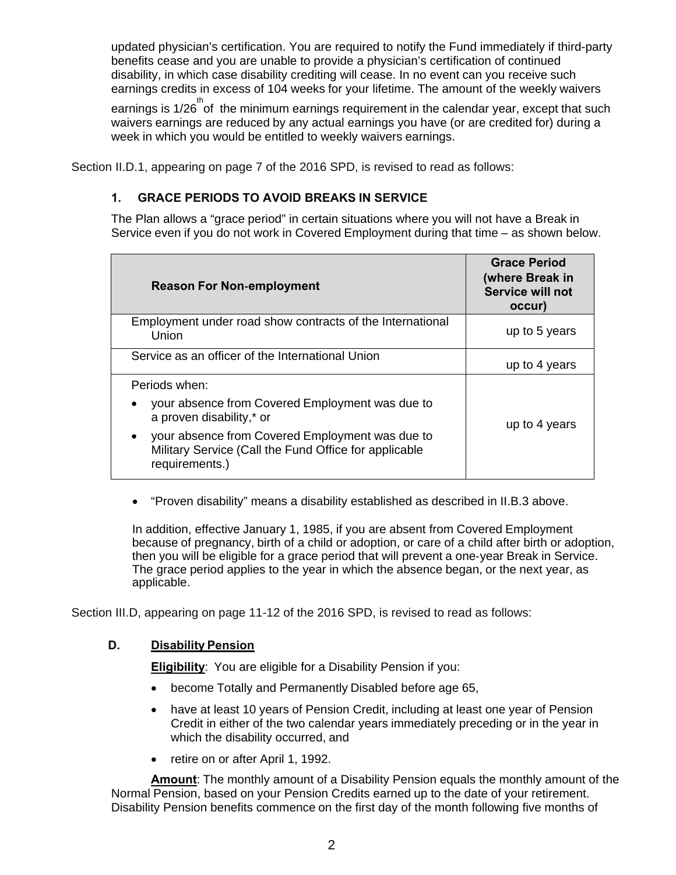updated physician's certification. You are required to notify the Fund immediately if third-party benefits cease and you are unable to provide a physician's certification of continued disability, in which case disability crediting will cease. In no event can you receive such earnings credits in excess of 104 weeks for your lifetime. The amount of the weekly waivers

earnings is 1/26  $\overline{b}^{\mathsf{th}}$  of the minimum earnings requirement in the calendar year, except that such waivers earnings are reduced by any actual earnings you have (or are credited for) during a week in which you would be entitled to weekly waivers earnings.

Section II.D.1, appearing on page 7 of the 2016 SPD, is revised to read as follows:

# **1. GRACE PERIODS TO AVOID BREAKS IN SERVICE**

The Plan allows a "grace period" in certain situations where you will not have a Break in Service even if you do not work in Covered Employment during that time – as shown below.

| <b>Reason For Non-employment</b>                                                                                           | <b>Grace Period</b><br>(where Break in<br><b>Service will not</b><br>occur) |
|----------------------------------------------------------------------------------------------------------------------------|-----------------------------------------------------------------------------|
| Employment under road show contracts of the International<br>Union                                                         | up to 5 years                                                               |
| Service as an officer of the International Union                                                                           | up to 4 years                                                               |
| Periods when:                                                                                                              |                                                                             |
| your absence from Covered Employment was due to<br>a proven disability,* or                                                | up to 4 years                                                               |
| your absence from Covered Employment was due to<br>Military Service (Call the Fund Office for applicable<br>requirements.) |                                                                             |

"Proven disability" means a disability established as described in II.B.3 above.

In addition, effective January 1, 1985, if you are absent from Covered Employment because of pregnancy, birth of a child or adoption, or care of a child after birth or adoption, then you will be eligible for a grace period that will prevent a one‐year Break in Service. The grace period applies to the year in which the absence began, or the next year, as applicable.

Section III.D, appearing on page 11-12 of the 2016 SPD, is revised to read as follows:

## **D. Disability Pension**

**Eligibility**: You are eligible for a Disability Pension if you:

- become Totally and Permanently Disabled before age 65,
- have at least 10 years of Pension Credit, including at least one year of Pension Credit in either of the two calendar years immediately preceding or in the year in which the disability occurred, and
- retire on or after April 1, 1992.

**Amount**: The monthly amount of a Disability Pension equals the monthly amount of the Normal Pension, based on your Pension Credits earned up to the date of your retirement. Disability Pension benefits commence on the first day of the month following five months of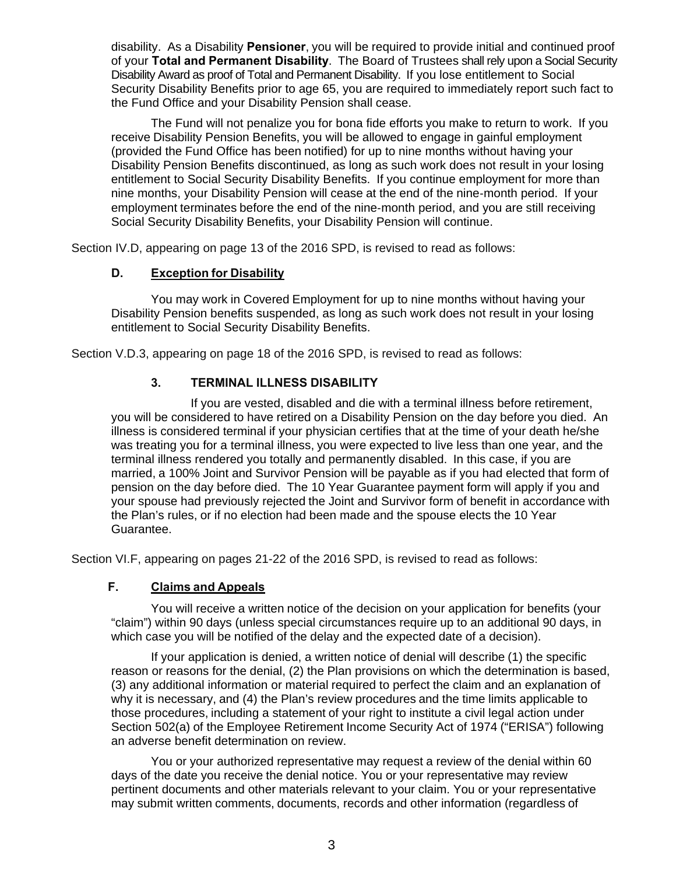disability. As a Disability **Pensioner**, you will be required to provide initial and continued proof of your **Total and Permanent Disability**. The Board of Trustees shall rely upon a Social Security Disability Award as proof of Total and Permanent Disability. If you lose entitlement to Social Security Disability Benefits prior to age 65, you are required to immediately report such fact to the Fund Office and your Disability Pension shall cease.

The Fund will not penalize you for bona fide efforts you make to return to work. If you receive Disability Pension Benefits, you will be allowed to engage in gainful employment (provided the Fund Office has been notified) for up to nine months without having your Disability Pension Benefits discontinued, as long as such work does not result in your losing entitlement to Social Security Disability Benefits. If you continue employment for more than nine months, your Disability Pension will cease at the end of the nine‐month period. If your employment terminates before the end of the nine‐month period, and you are still receiving Social Security Disability Benefits, your Disability Pension will continue.

Section IV.D, appearing on page 13 of the 2016 SPD, is revised to read as follows:

## **D. Exception for Disability**

You may work in Covered Employment for up to nine months without having your Disability Pension benefits suspended, as long as such work does not result in your losing entitlement to Social Security Disability Benefits.

Section V.D.3, appearing on page 18 of the 2016 SPD, is revised to read as follows:

## **3. TERMINAL ILLNESS DISABILITY**

If you are vested, disabled and die with a terminal illness before retirement, you will be considered to have retired on a Disability Pension on the day before you died. An illness is considered terminal if your physician certifies that at the time of your death he/she was treating you for a terminal illness, you were expected to live less than one year, and the terminal illness rendered you totally and permanently disabled. In this case, if you are married, a 100% Joint and Survivor Pension will be payable as if you had elected that form of pension on the day before died. The 10 Year Guarantee payment form will apply if you and your spouse had previously rejected the Joint and Survivor form of benefit in accordance with the Plan's rules, or if no election had been made and the spouse elects the 10 Year Guarantee.

Section VI.F, appearing on pages 21-22 of the 2016 SPD, is revised to read as follows:

## **F. Claims and Appeals**

You will receive a written notice of the decision on your application for benefits (your "claim") within 90 days (unless special circumstances require up to an additional 90 days, in which case you will be notified of the delay and the expected date of a decision).

If your application is denied, a written notice of denial will describe (1) the specific reason or reasons for the denial, (2) the Plan provisions on which the determination is based, (3) any additional information or material required to perfect the claim and an explanation of why it is necessary, and (4) the Plan's review procedures and the time limits applicable to those procedures, including a statement of your right to institute a civil legal action under Section 502(a) of the Employee Retirement Income Security Act of 1974 ("ERISA") following an adverse benefit determination on review.

You or your authorized representative may request a review of the denial within 60 days of the date you receive the denial notice. You or your representative may review pertinent documents and other materials relevant to your claim. You or your representative may submit written comments, documents, records and other information (regardless of